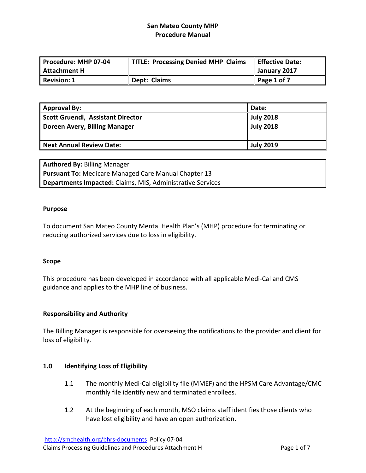| Procedure: MHP 07-04 | TITLE: Processing Denied MHP Claims | Effective Date: |
|----------------------|-------------------------------------|-----------------|
| Attachment H         |                                     | January 2017    |
| Revision: 1          | Dept: Claims                        | Page 1 of 7     |

| <b>Approval By:</b>                      | Date:            |
|------------------------------------------|------------------|
| <b>Scott Gruendl, Assistant Director</b> | <b>July 2018</b> |
| Doreen Avery, Billing Manager            | <b>July 2018</b> |
|                                          |                  |
| <b>Next Annual Review Date:</b>          | <b>July 2019</b> |

| <b>Authored By: Billing Manager</b>                               |
|-------------------------------------------------------------------|
| <b>Pursuant To: Medicare Managed Care Manual Chapter 13</b>       |
| <b>Departments Impacted:</b> Claims, MIS, Administrative Services |

### **Purpose**

To document San Mateo County Mental Health Plan's (MHP) procedure for terminating or reducing authorized services due to loss in eligibility.

#### **Scope**

This procedure has been developed in accordance with all applicable Medi‐Cal and CMS guidance and applies to the MHP line of business.

## **Responsibility and Authority**

The Billing Manager is responsible for overseeing the notifications to the provider and client for loss of eligibility.

## **1.0 Identifying Loss of Eligibility**

- 1.1 The monthly Medi-Cal eligibility file (MMEF) and the HPSM Care Advantage/CMC monthly file identify new and terminated enrollees.
- 1.2 At the beginning of each month, MSO claims staff identifies those clients who have lost eligibility and have an open authorization.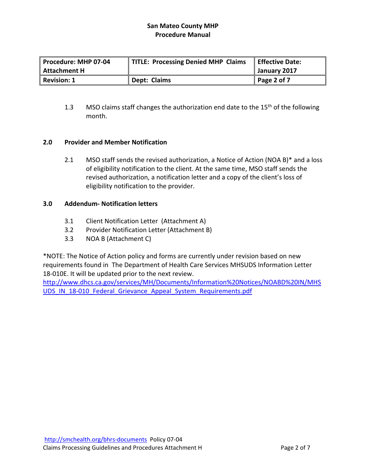| Procedure: MHP 07-04 P | TITLE: Processing Denied MHP Claims | Effective Date:     |
|------------------------|-------------------------------------|---------------------|
| Attachment H           |                                     | January 2017        |
| Revision: 1            | Dept: Claims                        | $\vert$ Page 2 of 7 |

1.3 MSO claims staff changes the authorization end date to the  $15<sup>th</sup>$  of the following month.

## **2.0 Provider and Member Notification**

2.1 MSO staff sends the revised authorization, a Notice of Action (NOA B)\* and a loss of eligibility notification to the client. At the same time, MSO staff sends the revised authorization, a notification letter and a copy of the client's loss of eligibility notification to the provider.

## **3.0 Addendum‐ Notification letters**

- 3.1 Client Notification Letter (Attachment A)
- 3.2 Provider Notification Letter (Attachment B)
- 3.3 NOA B (Attachment C)

\*NOTE: The Notice of Action policy and forms are currently under revision based on new requirements found in The Department of Health Care Services MHSUDS Information Letter 18‐010E. It will be updated prior to the next review.

http://www.dhcs.ca.gov/services/MH/Documents/Information%20Notices/NOABD%20IN/MHS UDS\_IN\_18-010\_Federal\_Grievance\_Appeal\_System\_Requirements.pdf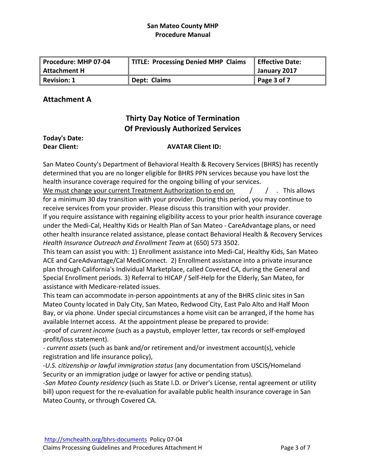| Procedure: MHP 07-04 | TITLE: Processing Denied MHP Claims | Effective Date:     |
|----------------------|-------------------------------------|---------------------|
| Attachment H         |                                     | January 2017        |
| Revision: 1          | Dept: Claims                        | $\vert$ Page 3 of 7 |

# **Attachment A**

# **Thirty Day Notice of Termination Of Previously Authorized Services**

## **Today's Date: Dear Client: AVATAR Client ID:**

San Mateo County's Department of Behavioral Health & Recovery Services (BHRS) has recently determined that you are no longer eligible for BHRS PPN services because you have lost the health insurance coverage required for the ongoing billing of your services.

We must change your current Treatment Authorization to end on  $\left( \begin{array}{cc} \end{array} \right)$   $\left( \begin{array}{cc} \end{array} \right)$  . This allows for a minimum 30 day transition with your provider. During this period, you may continue to receive services from your provider. Please discuss this transition with your provider.

If you require assistance with regaining eligibility access to your prior health insurance coverage under the Medi‐Cal, Healthy Kids or Health Plan of San Mateo ‐ CareAdvantage plans, or need other health insurance related assistance, please contact Behavioral Health & Recovery Services *Health Insurance Outreach and Enrollment Team* at (650) 573 3502.

This team can assist you with: 1) Enrollment assistance into Medi‐Cal, Healthy Kids, San Mateo ACE and CareAdvantage/Cal MediConnect. 2) Enrollment assistance into a private insurance plan through California's Individual Marketplace, called Covered CA, during the General and Special Enrollment periods. 3) Referral to HICAP / Self‐Help for the Elderly, San Mateo, for assistance with Medicare‐related issues.

This team can accommodate in‐person appointments at any of the BHRS clinic sites in San Mateo County located in Daly City, San Mateo, Redwood City, East Palo Alto and Half Moon Bay, or via phone. Under special circumstances a home visit can be arranged, if the home has available Internet access. At the appointment please be prepared to provide:

‐proof of *current income* (such as a paystub, employer letter, tax records or self‐employed profit/loss statement).

‐ *current assets* (such as bank and/or retirement and/or investment account(s), vehicle registration and life insurance policy),

‐*U.S. citizenship or lawful immigration status* (any documentation from USCIS/Homeland Security or an immigration judge or lawyer for active or pending status).

‐*San Mateo County residency* (such as State I.D. or Driver's License, rental agreement or utility bill) upon request for the re-evaluation for available public health insurance coverage in San Mateo County, or through Covered CA.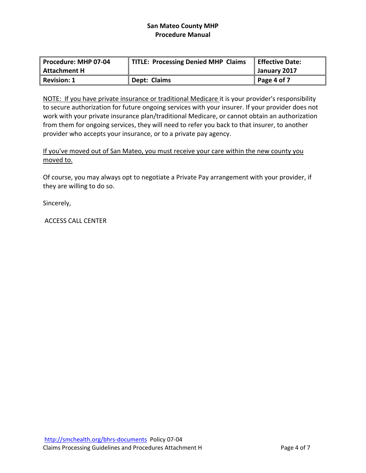| Procedure: MHP 07-04 | TITLE: Processing Denied MHP Claims | <b>Effective Date:</b> |
|----------------------|-------------------------------------|------------------------|
| <b>Attachment H</b>  |                                     | January 2017           |
| <b>Revision: 1</b>   | Dept: Claims                        | Page 4 of 7            |

NOTE: If you have private insurance or traditional Medicare it is your provider's responsibility to secure authorization for future ongoing services with your insurer. If your provider does not work with your private insurance plan/traditional Medicare, or cannot obtain an authorization from them for ongoing services, they will need to refer you back to that insurer, to another provider who accepts your insurance, or to a private pay agency.

If you've moved out of San Mateo, you must receive your care within the new county you moved to.

Of course, you may always opt to negotiate a Private Pay arrangement with your provider, if they are willing to do so.

Sincerely,

ACCESS CALL CENTER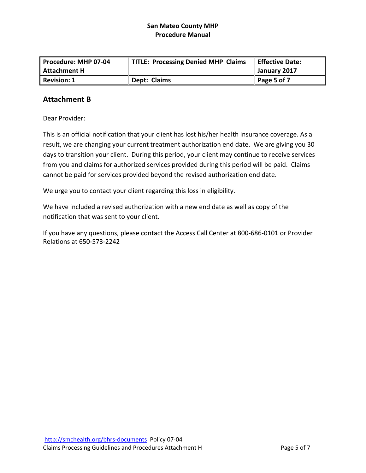| Procedure: MHP 07-04 | TITLE: Processing Denied MHP Claims | <b>Effective Date:</b> |
|----------------------|-------------------------------------|------------------------|
| <b>Attachment H</b>  |                                     | January 2017           |
| <b>Revision: 1</b>   | Dept: Claims                        | $\vert$ Page 5 of 7    |

# **Attachment B**

Dear Provider:

This is an official notification that your client has lost his/her health insurance coverage. As a result, we are changing your current treatment authorization end date. We are giving you 30 days to transition your client. During this period, your client may continue to receive services from you and claims for authorized services provided during this period will be paid. Claims cannot be paid for services provided beyond the revised authorization end date.

We urge you to contact your client regarding this loss in eligibility.

We have included a revised authorization with a new end date as well as copy of the notification that was sent to your client.

If you have any questions, please contact the Access Call Center at 800‐686‐0101 or Provider Relations at 650‐573‐2242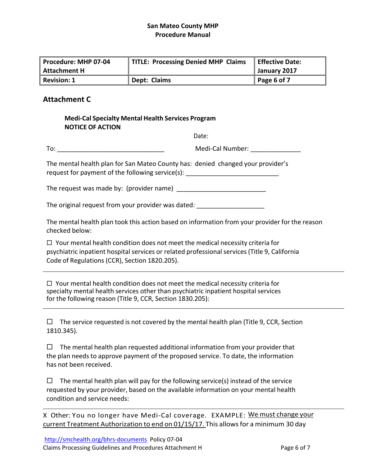| Procedure: MHP 07-04 | TITLE: Processing Denied MHP Claims | Effective Date: |
|----------------------|-------------------------------------|-----------------|
| Attachment H         |                                     | January 2017    |
| Revision: 1          | Dept: Claims                        | Page 6 of 7     |

# **Attachment C**

| <b>Medi-Cal Specialty Mental Health Services Program</b><br><b>NOTICE OF ACTION</b> |                                                                                                                                                                                                                                                                                                                                                                                                              |
|-------------------------------------------------------------------------------------|--------------------------------------------------------------------------------------------------------------------------------------------------------------------------------------------------------------------------------------------------------------------------------------------------------------------------------------------------------------------------------------------------------------|
|                                                                                     | Date:                                                                                                                                                                                                                                                                                                                                                                                                        |
|                                                                                     | Medi-Cal Number: _______________                                                                                                                                                                                                                                                                                                                                                                             |
|                                                                                     | The mental health plan for San Mateo County has: denied changed your provider's<br>request for payment of the following service(s): _______________________________                                                                                                                                                                                                                                          |
|                                                                                     |                                                                                                                                                                                                                                                                                                                                                                                                              |
|                                                                                     | The original request from your provider was dated: _____________________________                                                                                                                                                                                                                                                                                                                             |
| checked below:                                                                      | The mental health plan took this action based on information from your provider for the reason                                                                                                                                                                                                                                                                                                               |
| Code of Regulations (CCR), Section 1820.205).                                       | $\Box$ Your mental health condition does not meet the medical necessity criteria for<br>psychiatric inpatient hospital services or related professional services (Title 9, California                                                                                                                                                                                                                        |
| for the following reason (Title 9, CCR, Section 1830.205):                          | $\Box$ Your mental health condition does not meet the medical necessity criteria for<br>specialty mental health services other than psychiatric inpatient hospital services<br>the control of the control of the control of the control of the control of the control of the control of the control of the control of the control of the control of the control of the control of the control of the control |
| $\Box$<br>1810.345).                                                                | The service requested is not covered by the mental health plan (Title 9, CCR, Section                                                                                                                                                                                                                                                                                                                        |
| $\Box$<br>has not been received.                                                    | The mental health plan requested additional information from your provider that<br>the plan needs to approve payment of the proposed service. To date, the information                                                                                                                                                                                                                                       |
| condition and service needs:                                                        | $\Box$ The mental health plan will pay for the following service(s) instead of the service<br>requested by your provider, based on the available information on your mental health                                                                                                                                                                                                                           |
|                                                                                     | X Other: You no longer have Medi-Cal coverage. EXAMPLE: We must change your<br>current Treatment Authorization to end on 01/15/17. This allows for a minimum 30 day                                                                                                                                                                                                                                          |